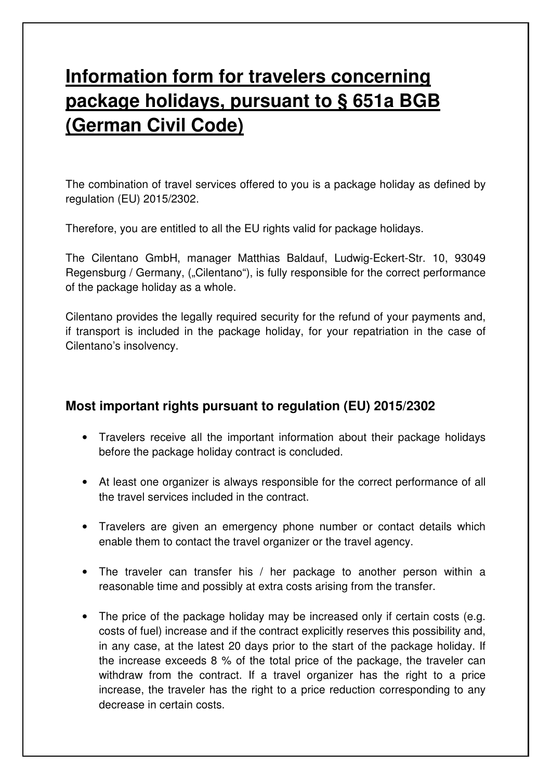## **Information form for travelers concerning package holidays, pursuant to § 651a BGB (German Civil Code)**

The combination of travel services offered to you is a package holiday as defined by regulation (EU) 2015/2302.

Therefore, you are entitled to all the EU rights valid for package holidays.

The Cilentano GmbH, manager Matthias Baldauf, Ludwig-Eckert-Str. 10, 93049 Regensburg / Germany, ("Cilentano"), is fully responsible for the correct performance of the package holiday as a whole.

Cilentano provides the legally required security for the refund of your payments and, if transport is included in the package holiday, for your repatriation in the case of Cilentano's insolvency.

## **Most important rights pursuant to regulation (EU) 2015/2302**

- Travelers receive all the important information about their package holidays before the package holiday contract is concluded.
- At least one organizer is always responsible for the correct performance of all the travel services included in the contract.
- Travelers are given an emergency phone number or contact details which enable them to contact the travel organizer or the travel agency.
- The traveler can transfer his / her package to another person within a reasonable time and possibly at extra costs arising from the transfer.
- The price of the package holiday may be increased only if certain costs (e.g. costs of fuel) increase and if the contract explicitly reserves this possibility and, in any case, at the latest 20 days prior to the start of the package holiday. If the increase exceeds 8 % of the total price of the package, the traveler can withdraw from the contract. If a travel organizer has the right to a price increase, the traveler has the right to a price reduction corresponding to any decrease in certain costs.